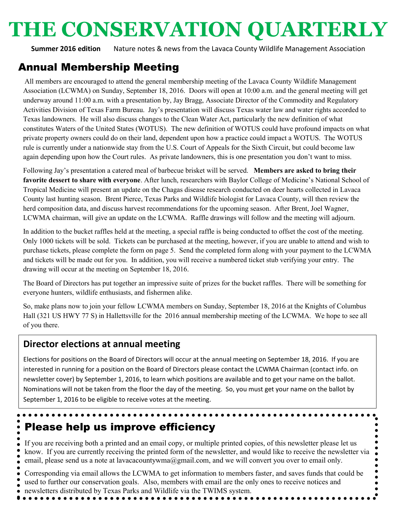# **THE CONSERVATION QUARTERLY**

**Summer 2016 edition** Nature notes & news from the Lavaca County Wildlife Management Association

# Annual Membership Meeting

All members are encouraged to attend the general membership meeting of the Lavaca County Wildlife Management Association (LCWMA) on Sunday, September 18, 2016. Doors will open at 10:00 a.m. and the general meeting will get underway around 11:00 a.m. with a presentation by, Jay Bragg, Associate Director of the Commodity and Regulatory Activities Division of Texas Farm Bureau. Jay's presentation will discuss Texas water law and water rights accorded to Texas landowners. He will also discuss changes to the Clean Water Act, particularly the new definition of what constitutes Waters of the United States (WOTUS). The new definition of WOTUS could have profound impacts on what private property owners could do on their land, dependent upon how a practice could impact a WOTUS. The WOTUS rule is currently under a nationwide stay from the U.S. Court of Appeals for the Sixth Circuit, but could become law again depending upon how the Court rules. As private landowners, this is one presentation you don't want to miss.

Following Jay's presentation a catered meal of barbecue brisket will be served. **Members are asked to bring their favorite dessert to share with everyone**. After lunch, researchers with Baylor College of Medicine's National School of Tropical Medicine will present an update on the Chagas disease research conducted on deer hearts collected in Lavaca County last hunting season. Brent Pierce, Texas Parks and Wildlife biologist for Lavaca County, will then review the herd composition data, and discuss harvest recommendations for the upcoming season. After Brent, Joel Wagner, LCWMA chairman, will give an update on the LCWMA. Raffle drawings will follow and the meeting will adjourn.

In addition to the bucket raffles held at the meeting, a special raffle is being conducted to offset the cost of the meeting. Only 1000 tickets will be sold. Tickets can be purchased at the meeting, however, if you are unable to attend and wish to purchase tickets, please complete the form on page 5. Send the completed form along with your payment to the LCWMA and tickets will be made out for you. In addition, you will receive a numbered ticket stub verifying your entry. The drawing will occur at the meeting on September 18, 2016.

The Board of Directors has put together an impressive suite of prizes for the bucket raffles. There will be something for everyone hunters, wildlife enthusiasts, and fishermen alike.

So, make plans now to join your fellow LCWMA members on Sunday, September 18, 2016 at the Knights of Columbus Hall (321 US HWY 77 S) in Hallettsville for the 2016 annual membership meeting of the LCWMA. We hope to see all of you there.

#### **Director elections at annual meeting**

Elections for positions on the Board of Directors will occur at the annual meeting on September 18, 2016. If you are interested in running for a position on the Board of Directors please contact the LCWMA Chairman (contact info. on newsletter cover) by September 1, 2016, to learn which positions are available and to get your name on the ballot. Nominations will not be taken from the floor the day of the meeting. So, you must get your name on the ballot by September 1, 2016 to be eligible to receive votes at the meeting.

# Please help us improve efficiency

If you are receiving both a printed and an email copy, or multiple printed copies, of this newsletter please let us know. If you are currently receiving the printed form of the newsletter, and would like to receive the newsletter via email, please send us a note at lavacacountywma@gmail.com, and we will convert you over to email only.

 $\bullet\bullet\bullet\bullet$ 

Corresponding via email allows the LCWMA to get information to members faster, and saves funds that could be used to further our conservation goals. Also, members with email are the only ones to receive notices and newsletters distributed by Texas Parks and Wildlife via the TWIMS system.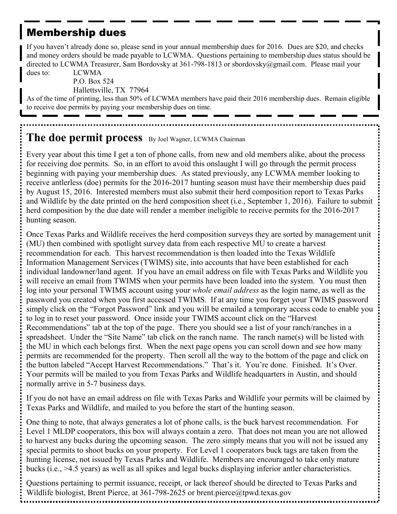# Membership dues

If you haven't already done so, please send in your annual membership dues for 2016. Dues are \$20, and checks and money orders should be made payable to LCWMA. Questions pertaining to membership dues status should be directed to LCWMA Treasurer, Sam Bordovsky at 361-798-1813 or sbordovsky@gmail.com. Please mail your dues to: LCWMA

P.O. Box 524 Hallettsville, TX 77964

As of the time of printing, less than 50% of LCWMA members have paid their 2016 membership dues. Remain eligible to receive doe permits by paying your membership dues on time.

# **The doe permit process** By Joel Wagner, LCWMA Chairman

Every year about this time I get a ton of phone calls, from new and old members alike, about the process for receiving doe permits. So, in an effort to avoid this onslaught I will go through the permit process beginning with paying your membership dues. As stated previously, any LCWMA member looking to receive antlerless (doe) permits for the 2016-2017 hunting season must have their membership dues paid by August 15, 2016. Interested members must also submit their herd composition report to Texas Parks and Wildlife by the date printed on the herd composition sheet (i.e., September 1, 2016). Failure to submit herd composition by the due date will render a member ineligible to receive permits for the 2016-2017 hunting season.

Once Texas Parks and Wildlife receives the herd composition surveys they are sorted by management unit (MU) then combined with spotlight survey data from each respective MU to create a harvest recommendation for each. This harvest recommendation is then loaded into the Texas Wildlife Information Management Services (TWIMS) site, into accounts that have been established for each individual landowner/land agent. If you have an email address on file with Texas Parks and Wildlife you will receive an email from TWIMS when your permits have been loaded into the system. You must then log into your personal TWIMS account using your *whole email address* as the login name, as well as the password you created when you first accessed TWIMS. If at any time you forget your TWIMS password simply click on the "Forgot Password" link and you will be emailed a temporary access code to enable you to log in to reset your password. Once inside your TWIMS account click on the "Harvest Recommendations" tab at the top of the page. There you should see a list of your ranch/ranches in a spreadsheet. Under the "Site Name" tab click on the ranch name. The ranch name(s) will be listed with the MU in which each belongs first. When the next page opens you can scroll down and see how many permits are recommended for the property. Then scroll all the way to the bottom of the page and click on the button labeled "Accept Harvest Recommendations." That's it. You're done. Finished. It's Over. Your permits will be mailed to you from Texas Parks and Wildlife headquarters in Austin, and should normally arrive in 5-7 business days.

If you do not have an email address on file with Texas Parks and Wildlife your permits will be claimed by Texas Parks and Wildlife, and mailed to you before the start of the hunting season.

One thing to note, that always generates a lot of phone calls, is the buck harvest recommendation. For Level 1 MLDP cooperators, this box will always contain a zero. That does not mean you are not allowed to harvest any bucks during the upcoming season. The zero simply means that you will not be issued any special permits to shoot bucks on your property. For Level 1 cooperators buck tags are taken from the hunting license, not issued by Texas Parks and Wildlife. Members are encouraged to take only mature bucks (i.e., >4.5 years) as well as all spikes and legal bucks displaying inferior antler characteristics.

Questions pertaining to permit issuance, receipt, or lack thereof should be directed to Texas Parks and Wildlife biologist, Brent Pierce, at 361-798-2625 or brent.pierce@tpwd.texas.gov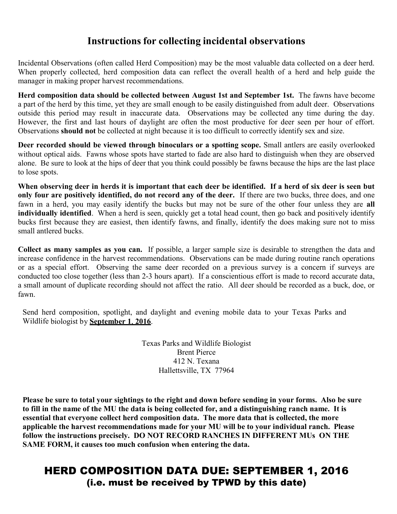#### **Instructions for collecting incidental observations**

Incidental Observations (often called Herd Composition) may be the most valuable data collected on a deer herd. When properly collected, herd composition data can reflect the overall health of a herd and help guide the manager in making proper harvest recommendations.

**Herd composition data should be collected between August 1st and September 1st.** The fawns have become a part of the herd by this time, yet they are small enough to be easily distinguished from adult deer. Observations outside this period may result in inaccurate data. Observations may be collected any time during the day. However, the first and last hours of daylight are often the most productive for deer seen per hour of effort. Observations **should not** be collected at night because it is too difficult to correctly identify sex and size.

**Deer recorded should be viewed through binoculars or a spotting scope.** Small antlers are easily overlooked without optical aids. Fawns whose spots have started to fade are also hard to distinguish when they are observed alone. Be sure to look at the hips of deer that you think could possibly be fawns because the hips are the last place to lose spots.

**When observing deer in herds it is important that each deer be identified. If a herd of six deer is seen but only four are positively identified, do not record any of the deer.** If there are two bucks, three does, and one fawn in a herd, you may easily identify the bucks but may not be sure of the other four unless they are **all individually identified**. When a herd is seen, quickly get a total head count, then go back and positively identify bucks first because they are easiest, then identify fawns, and finally, identify the does making sure not to miss small antlered bucks.

**Collect as many samples as you can.** If possible, a larger sample size is desirable to strengthen the data and increase confidence in the harvest recommendations. Observations can be made during routine ranch operations or as a special effort. Observing the same deer recorded on a previous survey is a concern if surveys are conducted too close together (less than 2-3 hours apart). If a conscientious effort is made to record accurate data, a small amount of duplicate recording should not affect the ratio. All deer should be recorded as a buck, doe, or fawn.

Send herd composition, spotlight, and daylight and evening mobile data to your Texas Parks and Wildlife biologist by **September 1**, **2016**.

> Texas Parks and Wildlife Biologist Brent Pierce 412 N. Texana Hallettsville, TX 77964

**Please be sure to total your sightings to the right and down before sending in your forms. Also be sure to fill in the name of the MU the data is being collected for, and a distinguishing ranch name. It is essential that everyone collect herd composition data. The more data that is collected, the more applicable the harvest recommendations made for your MU will be to your individual ranch. Please follow the instructions precisely. DO NOT RECORD RANCHES IN DIFFERENT MUs ON THE SAME FORM, it causes too much confusion when entering the data.**

### HERD COMPOSITION DATA DUE: SEPTEMBER 1, 2016 (i.e. must be received by TPWD by this date)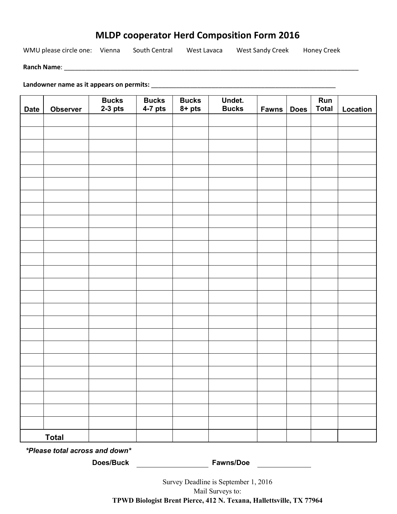#### **MLDP cooperator Herd Composition Form 2016**

WMU please circle one: Vienna South Central West Lavaca West Sandy Creek Honey Creek

**Ranch Name**: \_\_\_\_\_\_\_\_\_\_\_\_\_\_\_\_\_\_\_\_\_\_\_\_\_\_\_\_\_\_\_\_\_\_\_\_\_\_\_\_\_\_\_\_\_\_\_\_\_\_\_\_\_\_\_\_\_\_\_\_\_\_\_\_\_\_\_\_\_\_\_\_\_\_\_\_\_\_\_\_\_\_\_

**Landowner name as it appears on permits:** \_\_\_\_\_\_\_\_\_\_\_\_\_\_\_\_\_\_\_\_\_\_\_\_\_\_\_\_\_\_\_\_\_\_\_\_\_\_\_\_\_\_\_\_\_\_\_\_\_\_\_\_

| <b>Date</b>  | <b>Observer</b> | Bucks<br>2-3 pts | <b>Bucks</b><br>$4-7$ pts | <b>Bucks</b><br>$8 + pts$ | Undet.<br>Bucks | <b>Fawns</b> | <b>Does</b> | Run<br><b>Total</b> | Location |
|--------------|-----------------|------------------|---------------------------|---------------------------|-----------------|--------------|-------------|---------------------|----------|
|              |                 |                  |                           |                           |                 |              |             |                     |          |
|              |                 |                  |                           |                           |                 |              |             |                     |          |
|              |                 |                  |                           |                           |                 |              |             |                     |          |
|              |                 |                  |                           |                           |                 |              |             |                     |          |
|              |                 |                  |                           |                           |                 |              |             |                     |          |
|              |                 |                  |                           |                           |                 |              |             |                     |          |
|              |                 |                  |                           |                           |                 |              |             |                     |          |
|              |                 |                  |                           |                           |                 |              |             |                     |          |
|              |                 |                  |                           |                           |                 |              |             |                     |          |
|              |                 |                  |                           |                           |                 |              |             |                     |          |
|              |                 |                  |                           |                           |                 |              |             |                     |          |
|              |                 |                  |                           |                           |                 |              |             |                     |          |
|              |                 |                  |                           |                           |                 |              |             |                     |          |
|              |                 |                  |                           |                           |                 |              |             |                     |          |
|              |                 |                  |                           |                           |                 |              |             |                     |          |
|              |                 |                  |                           |                           |                 |              |             |                     |          |
|              |                 |                  |                           |                           |                 |              |             |                     |          |
|              |                 |                  |                           |                           |                 |              |             |                     |          |
|              |                 |                  |                           |                           |                 |              |             |                     |          |
|              |                 |                  |                           |                           |                 |              |             |                     |          |
|              |                 |                  |                           |                           |                 |              |             |                     |          |
|              |                 |                  |                           |                           |                 |              |             |                     |          |
|              |                 |                  |                           |                           |                 |              |             |                     |          |
|              |                 |                  |                           |                           |                 |              |             |                     |          |
|              |                 |                  |                           |                           |                 |              |             |                     |          |
| <b>Total</b> |                 |                  |                           |                           |                 |              |             |                     |          |

*\*Please total across and down\** 

**Does/Buck Fawns/Doe**

Survey Deadline is September 1, 2016 Mail Surveys to: **TPWD Biologist Brent Pierce, 412 N. Texana, Hallettsville, TX 77964**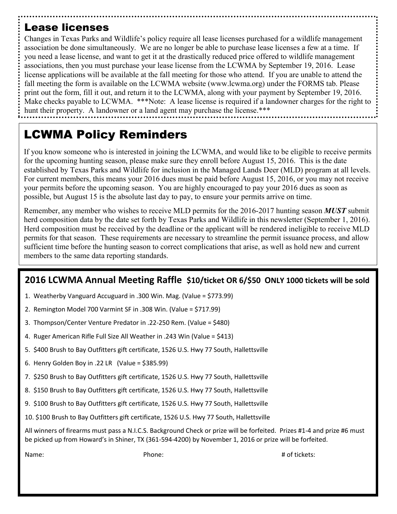# Lease licenses

Changes in Texas Parks and Wildlife's policy require all lease licenses purchased for a wildlife management association be done simultaneously. We are no longer be able to purchase lease licenses a few at a time. If you need a lease license, and want to get it at the drastically reduced price offered to wildlife management associations, then you must purchase your lease license from the LCWMA by September 19, 2016. Lease license applications will be available at the fall meeting for those who attend. If you are unable to attend the fall meeting the form is available on the LCWMA website (www.lcwma.org) under the FORMS tab. Please print out the form, fill it out, and return it to the LCWMA, along with your payment by September 19, 2016. Make checks payable to LCWMA. \*\*\*Note: A lease license is required if a landowner charges for the right to hunt their property. A landowner or a land agent may purchase the license.\*\*\*

# LCWMA Policy Reminders

If you know someone who is interested in joining the LCWMA, and would like to be eligible to receive permits for the upcoming hunting season, please make sure they enroll before August 15, 2016. This is the date established by Texas Parks and Wildlife for inclusion in the Managed Lands Deer (MLD) program at all levels. For current members, this means your 2016 dues must be paid before August 15, 2016, or you may not receive your permits before the upcoming season. You are highly encouraged to pay your 2016 dues as soon as possible, but August 15 is the absolute last day to pay, to ensure your permits arrive on time.

Remember, any member who wishes to receive MLD permits for the 2016-2017 hunting season *MUST* submit herd composition data by the date set forth by Texas Parks and Wildlife in this newsletter (September 1, 2016). Herd composition must be received by the deadline or the applicant will be rendered ineligible to receive MLD permits for that season. These requirements are necessary to streamline the permit issuance process, and allow sufficient time before the hunting season to correct complications that arise, as well as hold new and current members to the same data reporting standards.

#### **2016 LCWMA Annual Meeting Raffle \$10/ticket OR 6/\$50 ONLY 1000 tickets will be sold**

- 1. Weatherby Vanguard Accuguard in .300 Win. Mag. (Value = \$773.99)
- 2. Remington Model 700 Varmint SF in .308 Win. (Value = \$717.99)
- 3. Thompson/Center Venture Predator in .22-250 Rem. (Value = \$480)
- 4. Ruger American Rifle Full Size All Weather in .243 Win (Value = \$413)
- 5. \$400 Brush to Bay Outfitters gift certificate, 1526 U.S. Hwy 77 South, Hallettsville
- 6. Henry Golden Boy in .22 LR (Value = \$385.99)
- 7. \$250 Brush to Bay Outfitters gift certificate, 1526 U.S. Hwy 77 South, Hallettsville
- 8. \$150 Brush to Bay Outfitters gift certificate, 1526 U.S. Hwy 77 South, Hallettsville
- 9. \$100 Brush to Bay Outfitters gift certificate, 1526 U.S. Hwy 77 South, Hallettsville
- 10. \$100 Brush to Bay Outfitters gift certificate, 1526 U.S. Hwy 77 South, Hallettsville

All winners of firearms must pass a N.I.C.S. Background Check or prize will be forfeited. Prizes #1-4 and prize #6 must be picked up from Howard's in Shiner, TX (361-594-4200) by November 1, 2016 or prize will be forfeited.

Name: # of tickets: